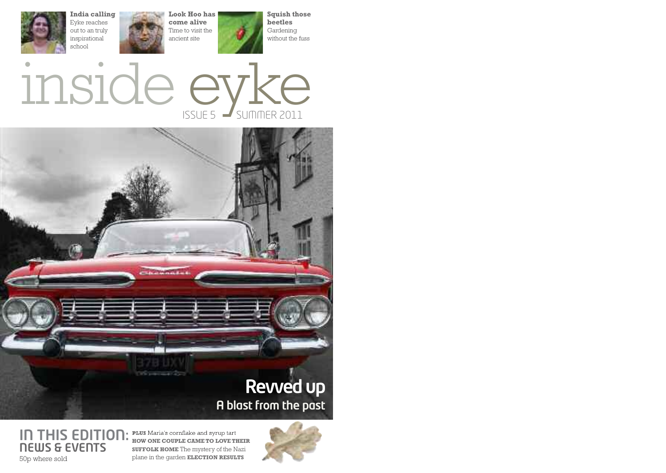

**India calling** Eyke reaches out to an truly inspirational school

**Look Hoo has come alive** Time to visit the ancient site

**Squish those beetles** Gardening without the fuss

 $ISSUE 5$   $\rightarrow$  SUMMER 2011 inside eyke



**IN THIS EDITION:** PLUS Maria's cornflake and syrup tart **NEWS & EVENTS** 50p where sold

**HOW ONE COUPLE CAME TO LOVE THEIR SUFFOLK HOME** The mystery of the Nazi plane in the garden **ELECTION RESULTS**

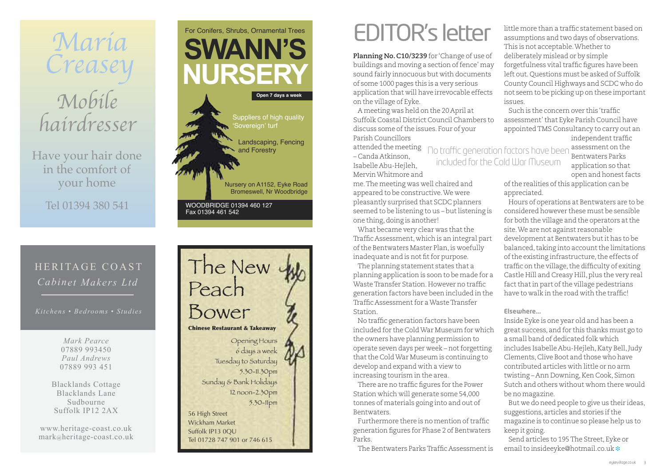

Have your hair done in the comfort of your home

Tel 01394 380 541

### HERITAGE COAST *Cabinet Makers Ltd*

*Kitchens • Bedrooms • Studies*

*Mark Pearce* 07889 993450 *Paul Andrews* 07889 993 451

Blacklands Cottage Blacklands Lane Sudbourne Suffolk IP12 2AX

www.heritage-coast.co.uk mark@heritage-coast.co.uk





# EDITOR's letter

**Planning No.C10/3239** for 'Change of use of buildings and moving a section of fence' may sound fairly innocuous but with documents of some 1000 pages this is a very serious application that will have irrevocable effects on the village of Eyke.

A meeting was held on the 20 April at Suffolk Coastal District Council Chambers to discuss some of the issues. Four of your Parish Councillors

attended the meeting no traffic generation factors have been assessment on the – Canda Atkinson, Isabelle Abu-Hejleh, MervinWhitmore and included for the Cold War Museum

me.The meeting was well chaired and appeared to be constructive.We were pleasantly surprised that SCDC planners seemed to be listening to us – but listening is one thing,doing is another!

What became very clear was that the Traffic Assessment, which is an integral part of the Bentwaters Master Plan, is woefully inadequate and is not fit for purpose.

The planning statement states that a planning application is soon to be made for a Waste Transfer Station. However no traffic generation factors have been included in the Traffic Assessmentfor aWasteTransfer Station.

No traffic generation factors have been included for the ColdWar Museum for which the owners have planning permission to operate seven days per week – not forgetting that the Cold War Museum is continuing to develop and expand with a view to increasing tourism in the area.

There are no traffic figures for the Power Station which will generate some 54,000 tonnes of materials going into and out of Bentwaters.

Furthermore there is no mention of traffic generation figures for Phase 2 of Bentwaters Parks.

The Bentwaters ParksTraffic Assessmentis

little more than a traffic statement based on assumptions and two days of observations. This is not acceptable.Whether to deliberately mislead or by simple forgetfulness vital traffic figures have been left out. Questions must be asked of Suffolk County Council Highways and SCDC who do not seem to be picking up on these important issues.

Such is the concern over this 'traffic assessment'that Eyke Parish Council have appointedTMS Consultancy to carry out an independent traffic

> Bentwaters Parks application so that open and honest facts

of the realities of this application can be appreciated.

Hours of operations at Bentwaters are to be considered however these must be sensible for both the village and the operators at the site.We are not against reasonable development at Bentwaters butit has to be balanced, taking into account the limitations of the existing infrastructure, the effects of traffic on the village, the difficulty of exiting Castle Hill and Creasy Hill, plus the very real fact that in part of the village pedestrians have to walk in the road with the traffic!

#### **Elsewhere...**

Inside Eyke is one year old and has been a great success, and for this thanks must go to a small band of dedicated folk which includes Isabelle Abu-Hejleh,Katy Bell,Judy Clements,Clive Boot and those who have contributed articles with little or no arm twisting – Ann Downing, Ken Cook, Simon Sutch and others without whom there would be no magazine.

But we do need people to give us their ideas, suggestions, articles and stories if the magazine is to continue so please help us to keep it going.

Send articles to 195The Street, Eyke or emailto insideeyke@hotmail.co.uk **❉**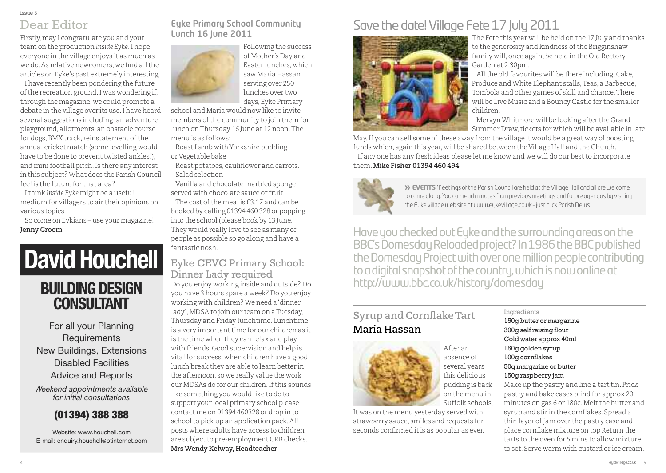### Dear Editor

Firstly,may I congratulate you and your team on the production *Inside Eyke*.I hope everyone in the village enjoys it as much as we do. As relative newcomers, we find all the articles on Eyke's past extremely interesting.

I have recently been pondering the future ofthe recreation ground.I was wondering if, through the magazine, we could promote a debate in the village over its use.I have heard several suggestions including: an adventure playground, allotments, an obstacle course for dogs, BMX track, reinstatement of the annual cricket match (some levelling would have to be done to prevent twisted ankles!), and mini football pitch. Is there any interest in this subject?What does the Parish Council feel is the future for that area?

Ithink *Inside Eyke* might be a useful medium for villagers to air their opinions on various topics.

So come on Eykians – use your magazine! **Jenny Groom**

# **David Houchell**

### **BUILDING DESIGN CONSULTANT**

For all your Planning **Requirements** New Buildings, Extensions Disabled Facilities Advice and Reports

*Weekend appointments available for initial consultations*

#### (01394) 388 388

Website: www.houchell.com E-mail: enquiry.houchell@btinternet.com

#### **Eyke Primary School Community Lunch 16 June 2011**



Following the success of Mother's Day and Easter lunches, which saw Maria Hassan serving over 250 lunches over two days, Eyke Primary

school and Maria would now like to invite members ofthe community to join them for lunch onThursday 16 June at 12 noon.The menu is as follows:

Roast Lamb withYorkshire pudding or Vegetable bake

Roast potatoes, cauliflower and carrots. Salad selection

Vanilla and chocolate marbled sponge served with chocolate sauce or fruit The cost of the meal is £3.17 and can be booked by calling 01394 460 328 or popping into the school (please book by 13 June. They would really love to see as many of people as possible so go along and have a fantastic nosh.

#### Do you enjoy working inside and outside? Do you have 3 hours spare a week? Do you enjoy working with children?We need a'dinner lady', MDSA to join our team on a Tuesday, Thursday and Friday lunchtime. Lunchtime is a very important time for our children as it is the time when they can relax and play with friends. Good supervision and help is Eyke CEVC Primary School: Dinner Lady required

vital for success, when children have a good lunch break they are able to learn better in the afternoon, so we really value the work our MDSAs do for our children. If this sounds like something you would like to do to support your local primary school please contact me on 01394 460328 or drop in to school to pick up an application pack. All posts where adults have access to children are subject to pre-employment CRB checks. **MrsWendy Kelway, Headteacher**

### Save the date! Village Fete 17 July 2011



The Fete this year will be held on the 17 July and thanks to the generosity and kindness of the Brigginshaw family will, once again,be held in the Old Rectory Garden at 2.30pm.

All the old favourites will be there including, Cake, Produce andWhite Elephant stalls,Teas, a Barbecue, Tombola and other games of skill and chance.There will be Live Music and a Bouncy Castle for the smaller children.

MervynWhitmore will be looking after the Grand Summer Draw, tickets for which will be available in late

May.If you can sell some ofthese away from the village it would be a great way of boosting funds which, again this year, will be shared between the Village Hall and the Church. If any one has any fresh ideas please let me know and we will do our bestto incorporate them.**Mike Fisher 01394 460 494**



**» EVENTS** Meetings of the Parish Council are held at the Village Hall and all are welcome to come along. You can read minutes from previous meetings and future agendas by visiting the Eyke village web site at [www.eykevillage.co.uk](http://www.eykevillage.co.uk) – just click Parish News

Have you checked out Eyke and the surrounding areas on the BBC's Domesday Reloaded project? In 1986 the BBC published the Domesday Project with over one million people contributing to a digital snapshot of the country, which is now online at http://www.bbc.co.uk/history/domesday

### **Syrup and CornflakeTart Maria Hassan**



After an absence of several years this delicious pudding is back on the menu in Suffolk schools,

It was on the menu yesterday served with strawberry sauce, smiles and requests for seconds confirmed it is as popular as ever.

Ingredients 150g butter or margarine 300g self raising flour Cold water approx 40ml 150g golden syrup 100g cornflakes 50g margarine or butter 150g raspberry jam Make up the pastry and line a tart tin. Prick pastry and bake cases blind for approx 20 minutes on gas 6 or 180c. Melt the butter and syrup and stir in the cornflakes. Spread a thin layer of jam over the pastry case and place cornflake mixture on top Return the tarts to the oven for 5 mins to allow mixture to set. Serve warm with custard or ice cream.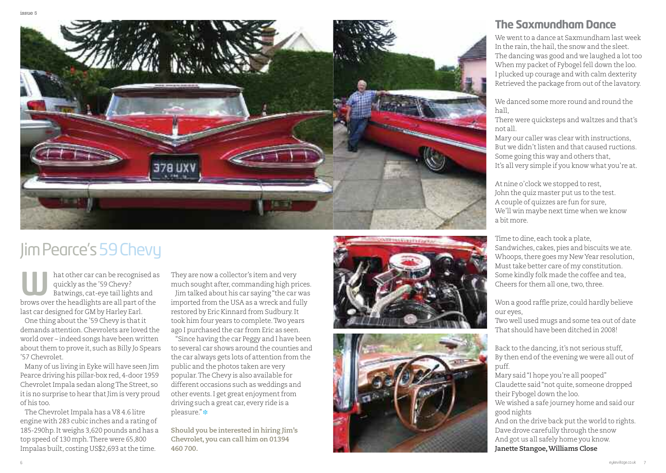

## JimPearce's59Chevy

hat other car can be recognised as quickly as the '59 Chevy? Batwings, cat-eye tail lights and hat other car can be recognised a<br>quickly as the '59 Chevy?<br>Batwings, cat-eye tail lights and<br>brows over the headlights are all part of the last car designed for GM by Harley Earl.

One thing about the '59 Chevy is that it demands attention.Chevrolets are loved the world over – indeed songs have been written about them to prove it, such as Billy Jo Spears '57 Chevrolet.

Many of us living in Eyke will have seen Jim Pearce driving his pillar-box red, 4-door 1959 Chevrolet Impala sedan along The Street, so it is no surprise to hear that Jim is very proud of his too.

The Chevrolet Impala has a V8 4.6 litre engine with 283 cubic inches and a rating of 185-290hp.It weighs 3,620 pounds and has a top speed of 130 mph.There were 65,800 Impalas built, costing US\$2,693 at the time.

They are now a collector's item and very much sought after, commanding high prices. Jim talked about his car saying"the car was imported from the USA as a wreck and fully restored by Eric Kinnard from Sudbury.It took him four years to complete.Two years ago I purchased the car from Eric as seen.

"Since having the car Peggy and I have been to several car shows around the counties and the car always gets lots of attention from the public and the photos taken are very popular.The Chevy is also available for different occasions such as weddings and other events. I get great enjoyment from driving such a great car, every ride is a pleasure." **❉**

**Should you be interested in hiring Jim's Chevrolet, you can call him on 01394 460 700.**





### **The Saxmundham Dance**

We went to a dance at Saxmundham last week In the rain, the hail, the snow and the sleet. The dancing was good and we laughed a lot too When my packet of Fybogel fell down the loo. I plucked up courage and with calm dexterity Retrieved the package from out of the lavatory.

We danced some more round and round the hall,

There were quicksteps and waltzes and that's not all.

Mary our caller was clear with instructions, But we didn't listen and that caused ructions. Some going this way and others that, It's all very simple if you know what you're at.

At nine o'clock we stopped to rest, John the quiz master put us to the test. A couple of quizzes are fun for sure, We'll win maybe next time when we know a bit more.

Time to dine, each took a plate, Sandwiches, cakes, pies and biscuits we ate. Whoops, there goes my New Year resolution, Must take better care of my constitution. Some kindly folk made the coffee and tea, Cheers for them all one, two, three.

Won a good raffle prize, could hardly believe our eyes,

Two well used mugs and some tea out of date That should have been ditched in 2008!

Back to the dancing, it's not serious stuff, By then end of the evening we were all out of puff.

Mary said"I hope you're all pooped" Claudette said"not quite, someone dropped their Fybogel down the loo. We wished a safe journey home and said our

good nights

And on the drive back put the world to rights. Dave drove carefully through the snow And got us all safely home you know. **Janette Stangoe,Williams Close**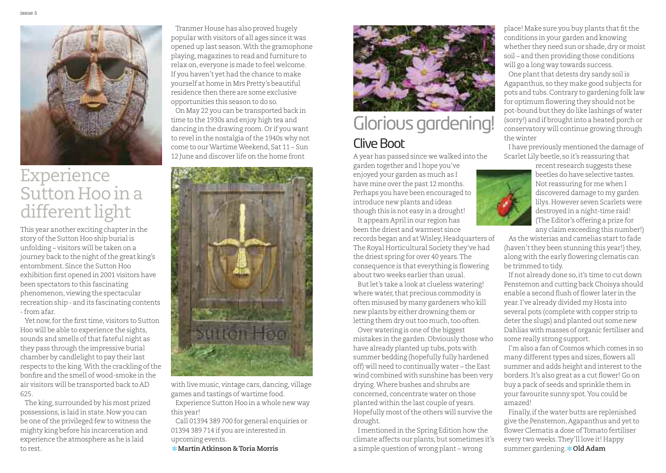

## Experience Sutton Hoo in a different light

This year another exciting chapter in the story of the Sutton Hoo ship burial is unfolding – visitors will be taken on a journey back to the night of the great king's entombment. Since the Sutton Hoo exhibition first opened in 2001 visitors have been spectators to this fascinating phenomenon, viewing the spectacular recreation ship - and its fascinating contents -from afar.

Yet now, for the first time, visitors to Sutton Hoo will be able to experience the sights, sounds and smells of that fateful night as they pass through the impressive burial chamber by candlelight to pay their last respects to the king. With the crackling of the bonfire and the smell of wood-smoke in the air visitors will be transported back to AD 625.

The king, surrounded by his most prized possessions,is laid in state.Now you can be one of the privileged few to witness the mighty king before his incarceration and experience the atmosphere as he is laid to rest.

Tranmer House has also proved hugely popular with visitors of all ages since it was opened up last season.With the gramophone playing,magazines to read and furniture to relax on, everyone is made to feel welcome. If you haven't yet had the chance to make yourself at home in Mrs Pretty's beautiful residence then there are some exclusive opportunities this season to do so.

On May 22 you can be transported back in time to the 1930s and enjoy high tea and dancing in the drawing room.Or if you want to revel in the nostalgia of the 1940s why not come to ourWartimeWeekend, Sat 11 – Sun 12 June and discover life on the home front



with live music, vintage cars, dancing, village games and tastings of wartime food.

Experience Sutton Hoo in a whole new way this year!

Call 01394 389 700 for general enquiries or 01394 389 714 if you are interested in upcoming events.

**❉ Martin Atkinson &Toria Morris**



## Clive Boot Glorious gardening!

A year has passed since we walked into the garden together and I hope you've

enjoyed your garden as much as I have mine over the past 12 months. Perhaps you have been encouraged to introduce new plants and ideas though this is not easy in a drought! It appears April in our region has

been the driest and warmest since

records began and atWisley,Headquarters of The Royal Horticultural Society they've had the driest spring for over 40 years.The consequence is that everything is flowering about two weeks earlier than usual

Butlet's take a look at clueless watering! where water, that precious commodity is often misused by many gardeners who kill new plants by either drowning them or letting them dry out too much, too often.

Over watering is one of the biggest mistakes in the garden.Obviously those who have already planted up tubs, pots with summer bedding (hopefully fully hardened off) will need to continually water – the East wind combined with sunshine has been very drying.Where bushes and shrubs are concerned, concentrate water on those planted within the last couple of years. Hopefully most of the others will survive the drought.

I mentioned in the Spring Edition how the climate affects our plants, but sometimes it's a simple question of wrong plant – wrong

place! Make sure you buy plants that fit the conditions in your garden and knowing whether they need sun or shade, dry or moist soil – and then providing those conditions will go a long way towards success.

One plant that detests dry sandy soil is Agapanthus, so they make good subjects for pots and tubs.Contrary to gardening folk law for optimum flowering they should not be pot-bound but they do like lashings of water (sorry!) and if brought into a heated porch or conservatory will continue growing through the winter

I have previously mentioned the damage of Scarlet Lily beetle, so it's reassuring that



recent research suggests these beetles do have selective tastes. Not reassuring for me when I discovered damage to my garden lilys.However seven Scarlets were destroyed in a night-time raid! (The Editor's offering a prize for any claim exceeding this number!)

As the wisterias and camelias start to fade (haven't they been stunning this year!) they, along with the early flowering clematis can be trimmed to tidy.

If not already done so, it's time to cut down Penstemon and cutting back Choisya should enable a second flush of flower later in the year.I've already divided my Hosta into several pots (complete with copper strip to deter the slugs) and planted out some new Dahlias with masses of organic fertiliser and some really strong support.

I'm also a fan of Cosmos which comes in so many different types and sizes, flowers all summer and adds height and interest to the borders.It's also great as a cut flower! Go on buy a pack of seeds and sprinkle them in your favourite sunny spot.You could be amazed!

Finally, if the water butts are replenished give the Penstemon,Agapanthus and yetto flower Clematis a dose of Tomato fertiliser every two weeks.They'll love it! Happy summer gardening. **❉ Old Adam**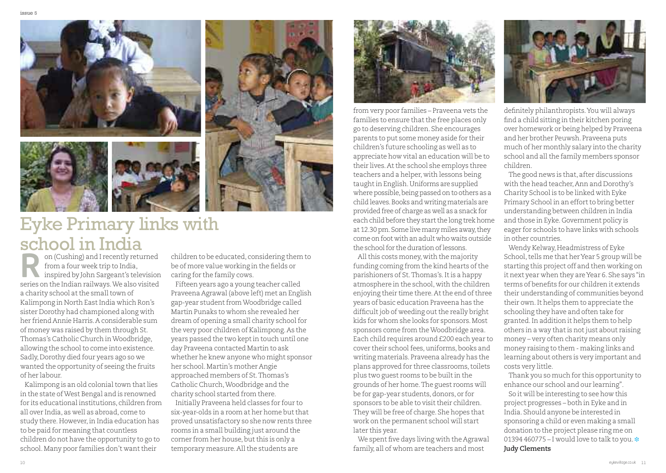

## Eyke Primary links with school in India

on (Cushing) and I recently returned from a four week trip to India, inspired by John Sargeant's television on (Cushing) and I recently returned<br>from a four week trip to India,<br>inspired by John Sargeant's television<br>series on the Indian railways. We also visited a charity school at the small town of Kalimpong in North East India which Ron's sister Dorothy had championed along with her friend Annie Harris.A considerable sum of money was raised by them through St. Thomas's Catholic Church in Woodbridge, allowing the school to come into existence. Sadly, Dorothy died four years ago so we wanted the opportunity of seeing the fruits of her labour.

Kalimpong is an old colonial town that lies in the state ofWest Bengal and is renowned for its educational institutions, children from all over India, as well as abroad, come to study there. However, in India education has to be paid for meaning that countless children do not have the opportunity to go to school. Many poor families don't want their

children to be educated, considering them to be of more value working in the fields or caring for the family cows.

Fifteen years ago a young teacher called Praveena Agrawal (above left) met an English gap-year student from Woodbridge called Martin Punaks to whom she revealed her dream of opening a small charity school for the very poor children of Kalimpong.As the years passed the two keptin touch until one day Praveena contacted Martin to ask whether he knew anyone who might sponsor her school.Martin's mother Angie approached members of St.Thomas's Catholic Church,Woodbridge and the charity school started from there. Initially Praveena held classes for four to six-year-olds in a room at her home but that proved unsatisfactory so she now rents three rooms in a small building just around the

corner from her house, but this is only a temporary measure. All the students are



from very poor families – Praveena vets the families to ensure that the free places only go to deserving children. She encourages parents to put some money aside for their children's future schooling as well as to appreciate how vital an education will be to their lives. At the school she employs three teachers and a helper, with lessons being taughtin English.Uniforms are supplied where possible, being passed on to others as a child leaves.Books and writingmaterials are provided free of charge as well as a snack for each child before they start the long trek home at 12.30 pm. Some live many miles away, they come onfoot withanadult who waits outside the school for the duration of lessons.

All this costs money, with the majority funding coming from the kind hearts of the parishioners of St.Thomas's.Itis a happy atmosphere in the school, with the children enjoying their time there. At the end of three years of basic education Praveena has the difficult job of weeding out the really bright kids for whom she looks for sponsors.Most sponsors come from theWoodbridge area. Each child requires around £200 each year to cover their school fees, uniforms, books and writing materials. Praveena already has the plans approved for three classrooms, toilets plus two guest rooms to be built in the grounds of her home.The guest rooms will be for gap-year students, donors, or for sponsors to be able to visit their children. They will be free of charge. She hopes that work on the permanent school will start later this year.

We spent five days living with the Agrawal family, all of whom are teachers and most



definitely philanthropists.You will always find a child sitting in their kitchen poring over homework or being helped by Praveena and her brother Peuwsh. Praveena puts much of her monthly salary into the charity school and all the family members sponsor children.

The good news is that, after discussions with the head teacher,Ann and Dorothy's Charity School is to be linked with Eyke Primary School in an effort to bring better understanding between children in India and those in Eyke. Government policy is eager for schools to have links with schools in other countries.

Wendy Kelway, Headmistress of Eyke School, tells me that her Year 5 group will be starting this project off and then working on it next year when they areYear 6. She says "in terms of benefits for our children it extends their understanding of communities beyond their own.It helps them to appreciate the schooling they have and often take for granted.In addition it helps them to help others in a way that is not just about raising money – very often charity means only money raising to them - making links and learning about others is very important and costs very little.

Thank you so much for this opportunity to enhance our school and our learning".

So it will be interesting to see how this project progresses – both in Eyke and in India. Should anyone be interested in sponsoring a child or even making a small donation to the project please ring me on 01394 460775 – I would love to talk to you. **❉ Judy Clements**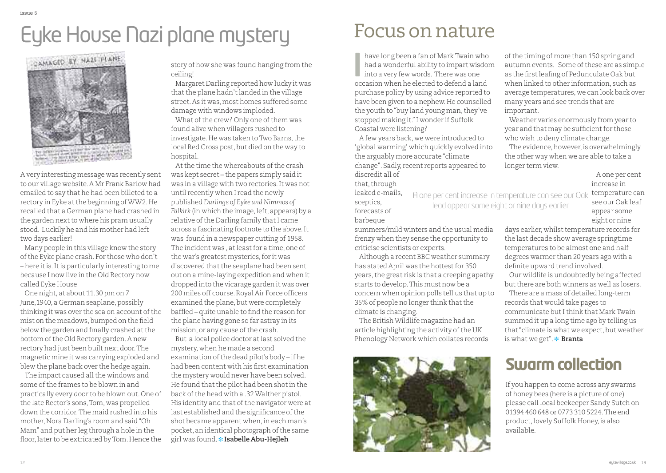# Eyke House Nazi plane mystery



A very interesting message was recently sent to our village website.A Mr Frank Barlow had emailed to say that he had been billeted to a rectory in Eyke atthe beginning ofWW2.He recalled that a German plane had crashed in the garden next to where his pram usually stood. Luckily he and his mother had left two days earlier!

Many people in this village know the story ofthe Eyke plane crash. For those who don't – here itis.Itis particularly interesting to me because I now live in the Old Rectory now called Eyke House

One night, at about 11.30 pm on 7 June, 1940, a German seaplane, possibly thinking it was over the sea on account of the mist on the meadows, bumped on the field below the garden and finally crashed atthe bottom of the Old Rectory garden. A new rectory had just been built next door.The magnetic mine it was carrying exploded and blew the plane back over the hedge again.

The impact caused all the windows and some of the frames to be blown in and practically every door to be blown out.One of the late Rector's sons,Tom, was propelled down the corridor.The maid rushed into his mother, Nora Darling's room and said "Oh Mam" and put her leg through a hole in the floor, later to be extricated by Tom. Hence the

story of how she was found hanging from the ceiling!

Margaret Darling reported how lucky it was that the plane hadn't landed in the village street.As it was,most homes suffered some damage with windows imploded.

What of the crew? Only one of them was found alive when villagers rushed to investigate. He was taken to Two Barns, the local Red Cross post, but died on the way to hospital.

At the time the whereabouts of the crash was kept secret – the papers simply said it was in a village with two rectories.It was not until recently when I read the newly published *Darlings of Eyke and Nimmos of Falkirk* (in which the image,left, appears) by a relative of the Darling family that I came across a fascinating footnote to the above.It was found in a newspaper cutting of 1958. The incident was, at least for a time, one of the war's greatest mysteries,for it was discovered that the seaplane had been sent out on a mine-laying expedition and when it dropped into the vicarage garden it was over 200 miles off course. Royal Air Force officers examined the plane, but were completely baffled – quite unable to find the reason for the plane having gone so far astray in its mission, or any cause of the crash.

But a local police doctor atlast solved the mystery, when he made a second examination of the dead pilot's body – if he had been content with his first examination the mystery would never have been solved. He found that the pilot had been shot in the back of the head with a .32 Walther pistol. His identity and that of the navigator were at last established and the significance of the shot became apparent when, in each man's pocket, an identical photograph of the same girl was found. **❉ Isabelle Abu-Hejleh**

have long been a fan of MarkTwain who had a wonderful ability to impart wisdom have long been a fan of Mark Twain when a wonderful ability to impart wish into a very few words. There was one occasion when he elected to defend a lab occasion when he elected to defend a land purchase policy by using advice reported to have been given to a nephew.He counselled the youth to "buy land young man, they've stopped making it."I wonder if Suffolk Coastal were listening?

A few years back, we were introduced to 'global warming' which quickly evolved into the arguably more accurate"climate change". Sadly, recent reports appeared to discredit all of

that, through

leaked e-mails, sceptics, forecasts of barbeque

summers/mild winters and the usual media frenzy when they sense the opportunity to criticise scientists or experts.

lead appear some eight or nine days earlier

Although a recent BBC weather summary has stated April was the hottest for 350 years, the great risk is that a creeping apathy starts to develop.This must now be a concern when opinion polls tell us that up to 35% of people no longer think that the climate is changing.

The BritishWildlife magazine had an article highlighting the activity of the UK Phenology Network which collates records



of the timing of more than 150 spring and autumn events. Some of these are as simple as the firstleafing of Pedunculate Oak but when linked to other information, such as average temperatures, we can look back over many years and see trends that are important.

Weather varies enormously from year to year and that may be sufficient for those who wish to deny climate change.

The evidence, however, is overwhelmingly the other way when we are able to take a longer term view.

> A one per cent increase in

temperature can see our Oak leaf appear some A one per centincrease in temperature can see our Oak

> eight or nine days earlier, whilst temperature records for the last decade show average springtime temperatures to be almost one and half degrees warmer than 20 years ago with a definite upward trend involved.

Our wildlife is undoubtedly being affected but there are both winners as well as losers. There are a mass of detailed long-term

records that would take pages to communicate butIthink that MarkTwain summed it up a long time ago by telling us that "climate is what we expect, but weather is what we get". **❉ Branta**

## **Swarm collection**

If you happen to come across any swarms of honey bees (here is a picture of one) please call local beekeeper Sandy Sutch on 01394 460 648 or 0773 310 5224.The end product, lovely Suffolk Honey, is also available.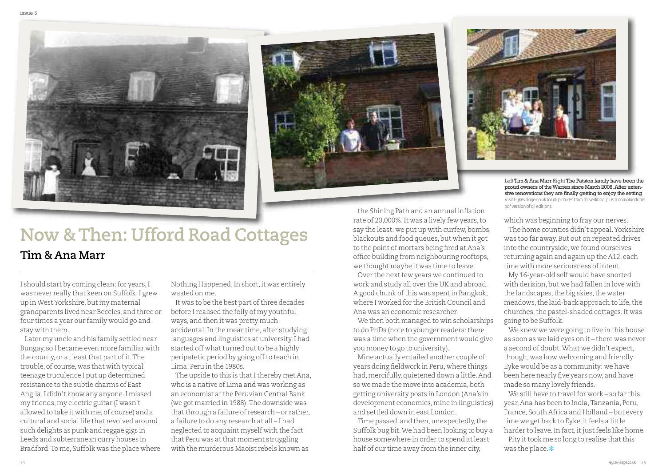





Left Tim & Ana Marr Right The Patston family have been the proud owners of theWarren since March 2008.After extensive renovations they are finally getting to enjoy the setting Visit [Eykevillage.co.uk](http://www.eykevillage.co.uk) for all pictures from this edition, plus a downloadable pdf version of all editions

which was beginning to fray our nerves.

The home counties didn't appeal.Yorkshire was too far away.But out on repeated drives into the countryside, we found ourselves returning again and again up the A12, each time with more seriousness ofintent.

My 16-year-old self would have snorted with derision, but we had fallen in love with the landscapes, the big skies, the water meadows, the laid-back approach to life, the churches, the pastel-shaded cottages. It was going to be Suffolk.

We knew we were going to live in this house as soon as we laid eyes on it – there was never a second of doubt.What we didn't expect, though, was how welcoming and friendly Eyke would be as a community: we have been here nearly five years now, and have made so many lovely friends.

We still have to travel for work – so far this year,Ana has been to India,Tanzania, Peru, France, South Africa and Holland – but every time we get back to Eyke, it feels a little harder to leave. In fact, it just feels like home.

Pity it took me so long to realise that this was the place. **❉**

# **Now &Then: Ufford Road Cottages**

#### **Tim & Ana Marr**

I should start by coming clean: for years, I was never really that keen on Suffolk.I grew up in West Yorkshire, but my maternal grandparents lived near Beccles, and three or four times a year our family would go and stay with them.

Later my uncle and his family settled near Bungay, so I became even more familiar with the county, or at least that part of it. The trouble, of course, was that with typical teenage truculence I put up determined resistance to the subtle charms of East Anglia.I didn't know any anyone.I missed my friends,my electric guitar (I wasn't allowed to take it with me, of course) and a cultural and social life that revolved around such delights as punk and reggae gigs in Leeds and subterranean curry houses in Bradford.To me, Suffolk was the place where Nothing Happened. In short, it was entirely wasted on me.

It was to be the best part of three decades before I realised the folly of my youthful ways, and then it was pretty much accidental.In the meantime, after studying languages and linguistics at university,I had started off what turned out to be a highly peripatetic period by going off to teach in Lima, Peru in the 1980s.

The upside to this is that I thereby met Ana, who is a native of Lima and was working as an economist atthe Peruvian Central Bank (we got married in 1988).The downside was that through a failure of research – or rather, a failure to do any research at all – I had neglected to acquaint myself with the fact that Peru was atthat moment struggling with the murderous Maoist rebels known as

the Shining Path and an annual inflation rate of 20,000%.It was a lively few years,to say the least: we put up with curfew, bombs, blackouts and food queues, but when it got to the point of mortars being fired at Ana's office building from neighbouring rooftops, we thought maybe it was time to leave.

Over the next few years we continued to work and study all over the UK and abroad. A good chunk of this was spent in Bangkok, where I worked for the British Council and Ana was an economic researcher.

We then both managed to win scholarships to do PhDs (note to younger readers: there was a time when the government would give you money to go to university).

Mine actually entailed another couple of years doing fieldwork in Peru, where things had, mercifully, quietened down a little. And so we made the move into academia, both getting university posts in London (Ana's in development economics, mine in linguistics) and settled down in east London.

Time passed, and then, unexpectedly, the Suffolk bug bit.We had been looking to buy a house somewhere in order to spend atleast half of our time away from the inner city,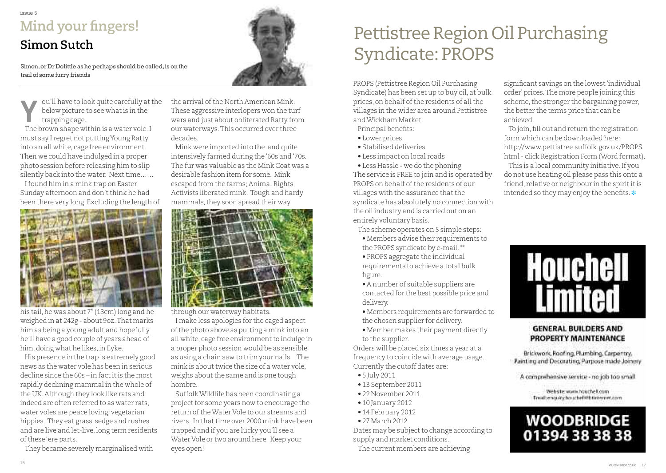### issue 5 **Mind your fingers!**

### **Simon Sutch**

Simon, or Dr Dolittle as he perhaps should be called, is on the trail of some furry friends

ou'll have to look quite carefully atthe below picture to see what is in the trapping cage. **V** ou'll have to look quite carefully at<br>the brown shape within is a water vole. If<br>the brown shape within is a water vole.

must say I regret not puttingYoung Ratty into an all white, cage free environment. Then we could have indulged in a proper photo session before releasing him to slip silently back into the water. Next time......

Ifound him in a mink trap on Easter Sunday afternoon and don't think he had been there very long. Excluding the length of



his tail,he was about 7"(18cm) long and he weighed in at 242g - about 9oz.That marks him as being a young adult and hopefully he'll have a good couple of years ahead of him, doing what he likes, in Eyke.

His presence in the trap is extremely good news as the water vole has been in serious decline since the 60s – in factitis the most rapidly declining mammal in the whole of the UK.Although they look like rats and indeed are often referred to as water rats, water voles are peace loving, vegetarian hippies. They eat grass, sedge and rushes and are live and let-live, long term residents of these 'ere parts.

They became severely marginalised with



the arrival of the North American Mink. These aggressive interlopers won the turf wars and just about obliterated Ratty from our waterways.This occurred over three decades.

Mink were imported into the and quite intensively farmed during the'60s and'70s. The fur was valuable as the Mink Coat was a desirable fashion item for some. Mink escaped from the farms; Animal Rights Activists liberated mink. Tough and hardy mammals, they soon spread their way



through our waterway habitats.

I make less apologies for the caged aspect ofthe photo above as putting a mink into an all white, cage free environment to indulge in a proper photo session would be as sensible as using a chain saw to trim your nails. The  $mink$  is about twice the size of a water vole. weighs about the same and is one tough hombre.

SuffolkWildlife has been coordinating a project for some years now to encourage the return oftheWater Vole to our streams and rivers. In that time over 2000 mink have been trapped and if you are lucky you'll see a Water Vole or two around here. Keep your eyes open!

# Pettistree Region Oil Purchasing Syndicate: PROPS

PROPS (Pettistree Region Oil Purchasing Syndicate) has been set up to buy oil, at bulk prices, on behalf of the residents of all the villages in the wider area around Pettistree andWickham Market.

Principal benefits:

- Lower prices
- Stabilised deliveries
- Less impact on local roads

• Less Hassle - we do the phoning The service is FREE to join and is operated by PROPS on behalf of the residents of our villages with the assurance thatthe syndicate has absolutely no connection with

the oil industry and is carried out on an entirely voluntary basis.

- The scheme operates on 5 simple steps:
- Members advise their requirements to the PROPS syndicate by e-mail.\*\*
- PROPS aggregate the individual requirements to achieve a total bulk figure.

• A number of suitable suppliers are contacted for the best possible price and delivery.

- Members requirements are forwarded to the chosen supplier for delivery.
- Member makes their payment directly to the supplier.

Orders will be placed six times a year at a frequency to coincide with average usage. Currently the cutoff dates are:

- 5 July 2011
- 13 September 2011
- 22 November 2011
- 10 January 2012
- 14 February 2012
- 27 March 2012

Dates may be subject to change according to supply and market conditions.

The current members are achieving

significant savings on the lowest'individual order' prices.The more people joining this scheme, the stronger the bargaining power, the better the terms price that can be achieved.

To join, fill out and return the registration form which can be downloaded here: http://www.pettistree.suffolk.gov.uk/PROPS. html- click Registration Form (Word format).

This is a local community initiative.If you do not use heating oil please pass this onto a friend, relative or neighbour in the spirititis intended so they may enjoy the benefits.  $\ast$ 



#### **GENERAL BUILDERS AND PROPERTY MAINTENANCE**

Brickwork, Roofing, Plumbing, Carpentry, Paint ing and Decoratino, Purpose made Joinery

A comprehensive service - no job too small

Webste www.houchel.com Email: enquiry: hour: heli@btintemet.com

### **WOODBRIDGE** 01394 38 38 38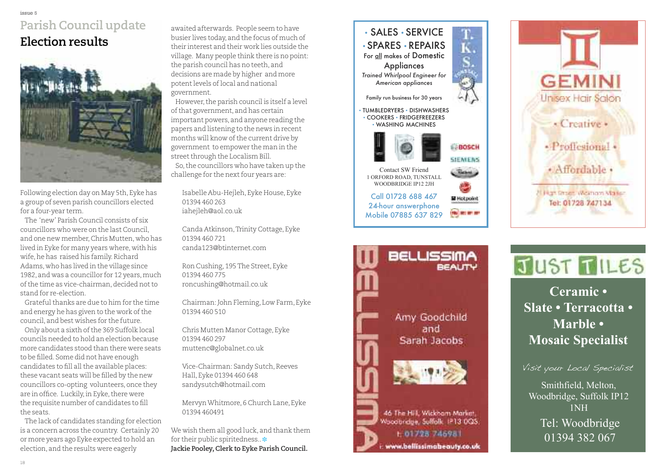#### i s s u e 5 Parish Council update  $\bf{E}$  lection results



Following election day on May 5th, Eyke has a group of seven parish councillors elected for a four-year term.

The 'new' Parish Council consists of six councillors who were on the last Council, and one new member, Chris Mutten, who has lived in Eyke for many years where, with his wife, he has raised his family. Richard Adams, who has lived in the village since 1982, and was a councillor for 12 years, much of the time as vice-chairman, decided not to stand for re-election.

Grateful thanks are due to him for the time and energy he has given to the work of the council, and best wishes for the future.

Only about a sixth of the 369 Suffolk local councils needed to hold an election because more candidates stood than there were seats to be filled. Some did not have enough candidates to fill all the available places: these vacant seats will be filled by the new councillors co-opting volunteers, once they are in office. Luckily, in Eyke, there were the requisite number of candidates to fill the seats.

The lack of candidates standing for election is a concern across the country. Certainly 20 or more years ago Eyke expected to hold an election, and the results were eagerly

awaited afterwards. People seem to have busier lives today, and the focus of much of their interest and their work lies outside the village. Many people think there is no point: the parish council has no teeth, and decisions are made by higher and more potent levels of local and national government.

However, the parish council is itself a level of that government, and has certain important powers, and anyone reading the papers and listening to the news in recent months will know of the current drive by government to empower the man in the street through the Localism Bill. So, the councillors who have taken up the challenge for the next four years are:

Isabelle Abu-Hejleh, Eyke House, Eyke 01394 460 263 iahejleh@aol.co.uk

Canda Atkinson, Trinity Cottage, Eyke 01394 460 721 c a n d a 1 2 3 @ b t i n t e r n e t . c o m

R o n C u s h i n g , 1 9 5 T h e S t r e e t , E y k e 0 1 3 9 4 4 6 0 7 7 5 roncushing@hotmail.co.uk

Chairman: John Fleming, Low Farm, Eyke 01394 460 510

Chris Mutten Manor Cottage, Eyke 01394 460 297 muttenc@globalnet.co.uk

Vice-Chairman: Sandy Sutch, Reeves Hall, Eyke 01394 460 648 sandysutch@hotmail.com

Mervyn Whitmore, 6 Church Lane, Eyke 01394 460491

We wish them all good luck, and thank them for their public spiritedness.. \* Jackie Pooley, Clerk to Eyke Parish Council.





# JUST TILES

Mosaic Specialist Mosaic Specialist **C e r a m i c •** Slate • Terracotta • **M a r b l e •**

Visit your Local Specialist

Smithfield, Melton, Woodbridge, Suffolk IP12  $1NH$ Tel: Woodbridge 01394 382 067



Amy Goodchild and Sarah Jacobs